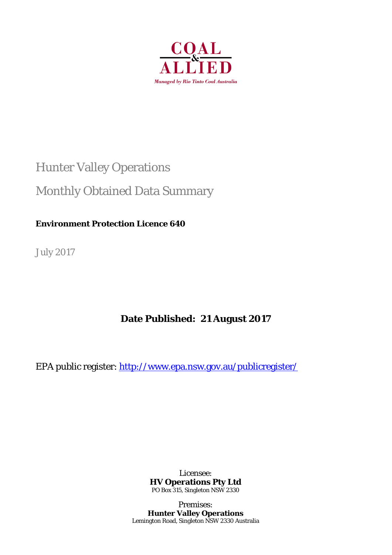

## Hunter Valley Operations

## Monthly Obtained Data Summary

### **Environment Protection Licence 640**

July 2017

## **Date Published: 21 August 2017**

EPA public register: http://www.epa.nsw.gov.au/publicregister/

Licensee: **HV Operations Pty Ltd**  PO Box 315, Singleton NSW 2330

Premises: **Hunter Valley Operations**  Lemington Road, Singleton NSW 2330 Australia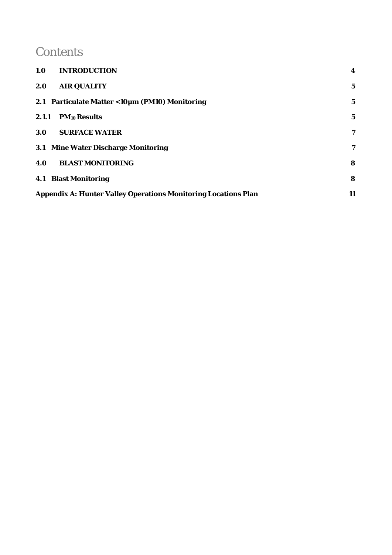## **Contents**

| 1.0<br><b>INTRODUCTION</b>                                            | 4           |
|-----------------------------------------------------------------------|-------------|
| <b>AIR QUALITY</b><br>2.0                                             | $\mathbf 5$ |
| 2.1 Particulate Matter < 10µm (PM10) Monitoring                       | $\bf 5$     |
| 2.1.1<br><b>PM10 Results</b>                                          | $\mathbf 5$ |
| <b>SURFACE WATER</b><br>3.0 <sub>l</sub>                              | 7           |
| 3.1 Mine Water Discharge Monitoring                                   | 7           |
| <b>BLAST MONITORING</b><br>4.0                                        | 8           |
| <b>4.1 Blast Monitoring</b>                                           | 8           |
| <b>Appendix A: Hunter Valley Operations Monitoring Locations Plan</b> | 11          |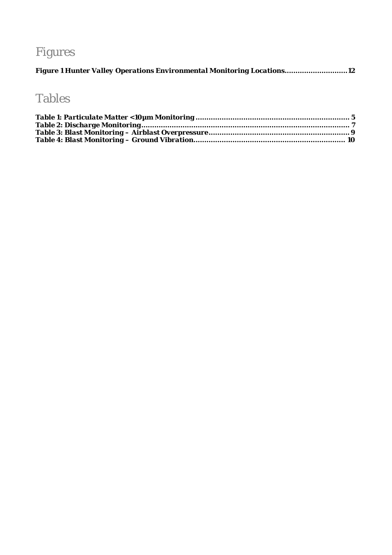# Figures

|  |  |  |  | Figure 1 Hunter Valley Operations Environmental Monitoring Locations12 |  |
|--|--|--|--|------------------------------------------------------------------------|--|
|  |  |  |  |                                                                        |  |

## Tables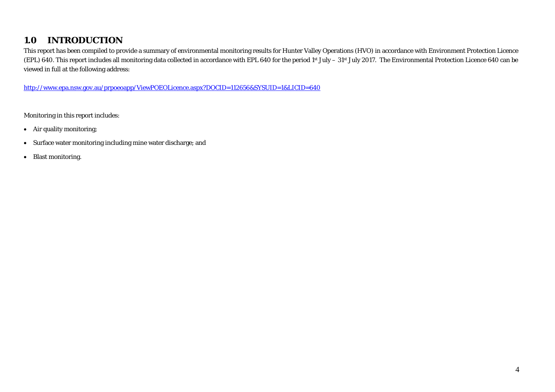#### **1.0INTRODUCTION**

This report has been compiled to provide a summary of environmental monitoring results for Hunter Valley Operations (HVO) in accordance with Environment Protection Licence (EPL) 640. This report includes all monitoring data collected in accordance with EPL 640 for the period 1st July – 31st July 2017. The Environmental Protection Licence 640 can be viewed in full at the following address:

http://www.epa.nsw.gov.au/prpoeoapp/ViewPOEOLicence.aspx?DOCID=112656&SYSUID=1&LICID=640

Monitoring in this report includes:

- Air quality monitoring;
- Surface water monitoring including mine water discharge; and
- $\bullet$ Blast monitoring.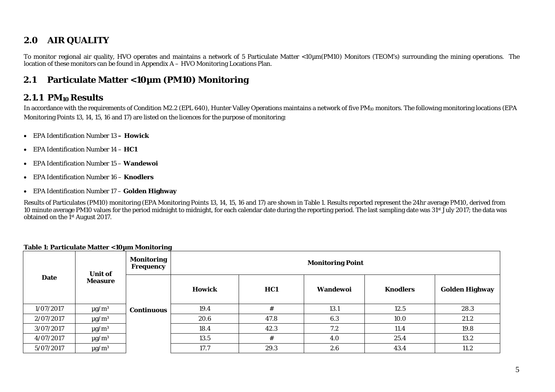#### **2.0AIR QUALITY**

To monitor regional air quality, HVO operates and maintains a network of 5 Particulate Matter <10µm(PM10) Monitors (TEOM's) surrounding the mining operations. The location of these monitors can be found in Appendix A – HVO Monitoring Locations Plan.

#### **2.1Particulate Matter <10µm (PM10) Monitoring**

### **2.1.1 PM10 Results**

In accordance with the requirements of Condition M2.2 (EPL 640), Hunter Valley Operations maintains a network of five PM<sub>10</sub> monitors. The following monitoring locations (EPA Monitoring Points 13, 14, 15, 16 and 17) are listed on the licences for the purpose of monitoring:

- EPA Identification Number 13  **Howick**
- EPA Identification Number 14 **HC1**
- EPA Identification Number 15 **Wandewoi**
- EPA Identification Number 16 **Knodlers**
- EPA Identification Number 17 **Golden Highway**

Results of Particulates (PM10) monitoring (EPA Monitoring Points 13, 14, 15, 16 and 17) are shown in Table 1. Results reported represent the 24hr average PM10, derived from 10 minute average PM10 values for the period midnight to midnight, for each calendar date during the reporting period. The last sampling date was 31<sup>st</sup> July 2017; the data was obtained on the 1<sup>st</sup> August 2017.

|             | <b>Unit of</b>         | <b>Monitoring</b><br>Frequency | <b>Monitoring Point</b> |      |          |                 |                       |  |
|-------------|------------------------|--------------------------------|-------------------------|------|----------|-----------------|-----------------------|--|
| <b>Date</b> | <b>Measure</b>         |                                | <b>Howick</b>           | HC1  | Wandewoi | <b>Knodlers</b> | <b>Golden Highway</b> |  |
| 1/07/2017   | $\mu$ g/m <sup>3</sup> | <b>Continuous</b>              | 19.4                    | #    | 13.1     | 12.5            | 28.3                  |  |
| 2/07/2017   | $\mu$ g/m <sup>3</sup> |                                | 20.6                    | 47.8 | 6.3      | 10.0            | 21.2                  |  |
| 3/07/2017   | $\mu$ g/m <sup>3</sup> |                                | 18.4                    | 42.3 | 7.2      | 11.4            | 19.8                  |  |
| 4/07/2017   | $\mu$ g/m <sup>3</sup> |                                | 13.5                    | #    | 4.0      | 25.4            | 13.2                  |  |
| 5/07/2017   | $\mu$ g/m <sup>3</sup> |                                | 17.7                    | 29.3 | 2.6      | 43.4            | 11.2                  |  |

### **Table 1: Particulate Matter <10µm Monitoring**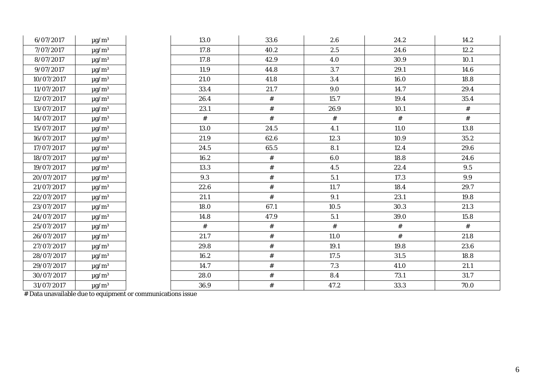| 6/07/2017  | $\mu\text{g}/\text{m}^3$ | 13.0 | 33.6 | 2.6  | 24.2 | 14.2 |
|------------|--------------------------|------|------|------|------|------|
| 7/07/2017  | $\mu\text{g}/\text{m}^3$ | 17.8 | 40.2 | 2.5  | 24.6 | 12.2 |
| 8/07/2017  | $\mu g/m^3$              | 17.8 | 42.9 | 4.0  | 30.9 | 10.1 |
| 9/07/2017  | $\mu\text{g}/\text{m}^3$ | 11.9 | 44.8 | 3.7  | 29.1 | 14.6 |
| 10/07/2017 | $\mu\text{g}/\text{m}^3$ | 21.0 | 41.8 | 3.4  | 16.0 | 18.8 |
| 11/07/2017 | $\mu\text{g}/\text{m}^3$ | 33.4 | 21.7 | 9.0  | 14.7 | 29.4 |
| 12/07/2017 | $\mu g/m^3$              | 26.4 | $\#$ | 15.7 | 19.4 | 35.4 |
| 13/07/2017 | $\mu g/m^3$              | 23.1 | $\#$ | 26.9 | 10.1 | #    |
| 14/07/2017 | $\mu\text{g}/\text{m}^3$ | #    | $\#$ | $\#$ | $\#$ | $\#$ |
| 15/07/2017 | $\mu g/m^3$              | 13.0 | 24.5 | 4.1  | 11.0 | 13.8 |
| 16/07/2017 | $\mu\text{g}/\text{m}^3$ | 21.9 | 62.6 | 12.3 | 10.9 | 35.2 |
| 17/07/2017 | $\mu g/m^3$              | 24.5 | 65.5 | 8.1  | 12.4 | 29.6 |
| 18/07/2017 | $\mu\text{g}/\text{m}^3$ | 16.2 | $\#$ | 6.0  | 18.8 | 24.6 |
| 19/07/2017 | $\mu\text{g}/\text{m}^3$ | 13.3 | $\#$ | 4.5  | 22.4 | 9.5  |
| 20/07/2017 | $\mu g/m^3$              | 9.3  | $\#$ | 5.1  | 17.3 | 9.9  |
| 21/07/2017 | $\mu\text{g}/\text{m}^3$ | 22.6 | $\#$ | 11.7 | 18.4 | 29.7 |
| 22/07/2017 | $\mu\text{g}/\text{m}^3$ | 21.1 | $\#$ | 9.1  | 23.1 | 19.8 |
| 23/07/2017 | $\mu\text{g}/\text{m}^3$ | 18.0 | 67.1 | 10.5 | 30.3 | 21.3 |
| 24/07/2017 | $\mu\text{g}/\text{m}^3$ | 14.8 | 47.9 | 5.1  | 39.0 | 15.8 |
| 25/07/2017 | $\mu g/m^3$              | $\#$ | $\#$ | $\#$ | $\#$ | $\#$ |
| 26/07/2017 | $\mu g/m^3$              | 21.7 | $\#$ | 11.0 | $\#$ | 21.8 |
| 27/07/2017 | $\mu$ g/m <sup>3</sup>   | 29.8 | $\#$ | 19.1 | 19.8 | 23.6 |
| 28/07/2017 | $\mu g/m^3$              | 16.2 | $\#$ | 17.5 | 31.5 | 18.8 |
| 29/07/2017 | $\mu\text{g}/\text{m}^3$ | 14.7 | $\#$ | 7.3  | 41.0 | 21.1 |
| 30/07/2017 | $\mu\text{g}/\text{m}^3$ | 28.0 | $\#$ | 8.4  | 73.1 | 31.7 |
| 31/07/2017 | $\mu g/m^3$              | 36.9 | $\#$ | 47.2 | 33.3 | 70.0 |

# Data unavailable due to equipment or communications issue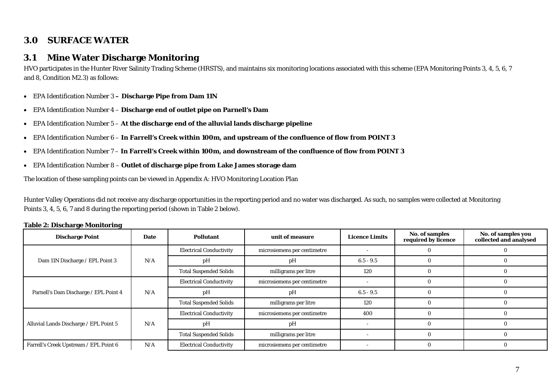#### **3.0SURFACE WATER**

#### **3.1Mine Water Discharge Monitoring**

HVO participates in the Hunter River Salinity Trading Scheme (HRSTS), and maintains six monitoring locations associated with this scheme (EPA Monitoring Points 3, 4, 5, 6, 7 and 8, Condition M2.3) as follows:

- EPA Identification Number 3 **Discharge Pipe from Dam 11N**
- $\bullet$ EPA Identification Number 4 – **Discharge end of outlet pipe on Parnell's Dam**
- EPA Identification Number 5 **At the discharge end of the alluvial lands discharge pipeline**
- EPA Identification Number 6 **In Farrell's Creek within 100m, and upstream of the confluence of flow from POINT 3**
- $\bullet$ EPA Identification Number 7 – **In Farrell's Creek within 100m, and downstream of the confluence of flow from POINT 3**
- EPA Identification Number 8 **Outlet of discharge pipe from Lake James storage dam**

The location of these sampling points can be viewed in Appendix A: HVO Monitoring Location Plan

Hunter Valley Operations did not receive any discharge opportunities in the reporting period and no water was discharged. As such, no samples were collected at Monitoring Points 3, 4, 5, 6, 7 and 8 during the reporting period (shown in Table 2 below).

| <b>Discharge Point</b>                 | <b>Date</b> | <b>Pollutant</b>               | unit of measure             | <b>Licence Limits</b> | No. of samples<br>required by licence | No. of samples you<br>collected and analysed |
|----------------------------------------|-------------|--------------------------------|-----------------------------|-----------------------|---------------------------------------|----------------------------------------------|
|                                        |             | <b>Electrical Conductivity</b> | microsiemens per centimetre |                       |                                       |                                              |
| Dam 11N Discharge / EPL Point 3        | N/A         | pH                             | pH                          | $6.5 - 9.5$           |                                       |                                              |
|                                        |             | <b>Total Suspended Solids</b>  | milligrams per litre        | 120                   |                                       |                                              |
|                                        | N/A         | <b>Electrical Conductivity</b> | microsiemens per centimetre |                       |                                       |                                              |
| Parnell's Dam Discharge / EPL Point 4  |             | pH                             | pH                          | $6.5 - 9.5$           |                                       |                                              |
|                                        |             | <b>Total Suspended Solids</b>  | milligrams per litre        | 120                   | $\Omega$                              |                                              |
|                                        |             | <b>Electrical Conductivity</b> | microsiemens per centimetre | 400                   |                                       |                                              |
| Alluvial Lands Discharge / EPL Point 5 | N/A         | pH                             | pH                          |                       |                                       |                                              |
|                                        |             | <b>Total Suspended Solids</b>  | milligrams per litre        |                       |                                       |                                              |
| Farrell's Creek Upstream / EPL Point 6 | N/A         | <b>Electrical Conductivity</b> | microsiemens per centimetre |                       |                                       |                                              |

#### **Table 2: Discharge Monitoring**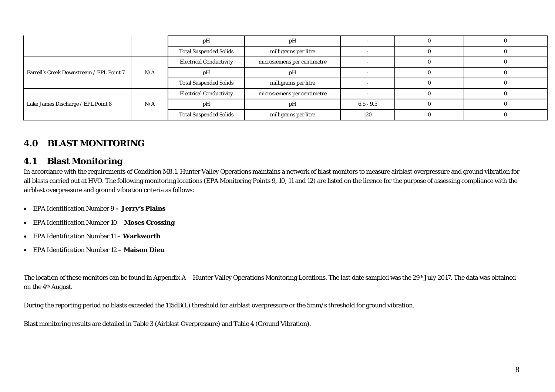|                                          |     | рH                             | рH                          |     |  |
|------------------------------------------|-----|--------------------------------|-----------------------------|-----|--|
|                                          |     | <b>Total Suspended Solids</b>  | milligrams per litre        |     |  |
|                                          | N/A | <b>Electrical Conductivity</b> | microsiemens per centimetre |     |  |
| Farrell's Creek Downstream / EPL Point 7 |     | pH<br>рH                       |                             |     |  |
|                                          |     | <b>Total Suspended Solids</b>  | milligrams per litre        |     |  |
|                                          | N/A | <b>Electrical Conductivity</b> | microsiemens per centimetre |     |  |
| Lake James Discharge / EPL Point 8       |     | рH                             | рH                          |     |  |
|                                          |     | <b>Total Suspended Solids</b>  | milligrams per litre        | 120 |  |

### **4.0 BLAST MONITORING**

#### **4.1Blast Monitoring**

In accordance with the requirements of Condition M8.1, Hunter Valley Operations maintains a network of blast monitors to measure airblast overpressure and ground vibration for all blasts carried out at HVO. The following monitoring locations (EPA Monitoring Points 9, 10, 11 and 12) are listed on the licence for the purpose of assessing compliance with the airblast overpressure and ground vibration criteria as follows:

- EPA Identification Number 9 **Jerry's Plains**
- EPA Identification Number 10 **Moses Crossing**
- $\bullet$ EPA Identification Number 11 – **Warkworth**
- EPA Identification Number 12 **Maison Dieu**

The location of these monitors can be found in Appendix A – Hunter Valley Operations Monitoring Locations. The last date sampled was the 29<sup>th</sup> July 2017. The data was obtained on the 4th August.

During the reporting period no blasts exceeded the 115dB(L) threshold for airblast overpressure or the 5mm/s threshold for ground vibration.

Blast monitoring results are detailed in Table 3 (Airblast Overpressure) and Table 4 (Ground Vibration).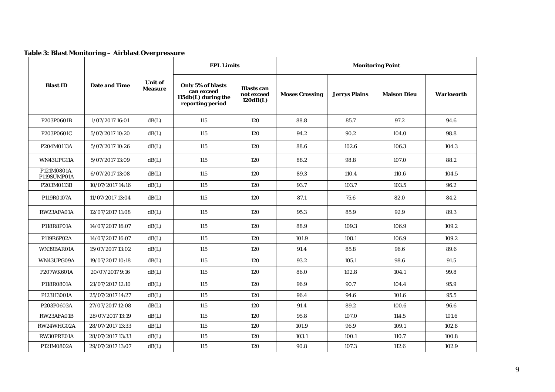| Table 3: Blast Monitoring - Airblast Overpressure |  |
|---------------------------------------------------|--|
|---------------------------------------------------|--|

|                            |                      |                                  | <b>EPL Limits</b>                                                          |                                             | <b>Monitoring Point</b> |                      |                    |                  |  |
|----------------------------|----------------------|----------------------------------|----------------------------------------------------------------------------|---------------------------------------------|-------------------------|----------------------|--------------------|------------------|--|
| <b>Blast ID</b>            | <b>Date and Time</b> | <b>Unit of</b><br><b>Measure</b> | Only 5% of blasts<br>can exceed<br>115db(L) during the<br>reporting period | <b>Blasts</b> can<br>not exceed<br>120dB(L) | <b>Moses Crossing</b>   | <b>Jerrys Plains</b> | <b>Maison Dieu</b> | <b>Warkworth</b> |  |
| P203P0601B                 | 1/07/2017 16:01      | dB(L)                            | 115                                                                        | 120                                         | 88.8                    | 85.7                 | 97.2               | 94.6             |  |
| P203P0601C                 | 5/07/2017 10:20      | dB(L)                            | 115                                                                        | 120                                         | 94.2                    | 90.2                 | 104.0              | 98.8             |  |
| P204M0113A                 | 5/07/2017 10:26      | dB(L)                            | 115                                                                        | 120                                         | 88.6                    | 102.6                | 106.3              | 104.3            |  |
| WN43UPG11A                 | 5/07/2017 13:09      | dB(L)                            | 115                                                                        | 120                                         | 88.2                    | 98.8                 | 107.0              | 88.2             |  |
| P121M0801A,<br>P119SUMP01A | 6/07/2017 13:08      | dB(L)                            | 115                                                                        | 120                                         | 89.3                    | 110.4                | 110.6              | 104.5            |  |
| P203M0113B                 | 10/07/2017 14:16     | dB(L)                            | 115                                                                        | 120                                         | 93.7                    | 103.7                | 103.5              | 96.2             |  |
| P119R0107A                 | 11/07/2017 13:04     | dB(L)                            | 115                                                                        | 120                                         | 87.1                    | 75.6                 | 82.0               | 84.2             |  |
| RW23AFA01A                 | 12/07/2017 11:08     | dB(L)                            | 115                                                                        | 120                                         | 95.3                    | 85.9                 | 92.9               | 89.3             |  |
| P118R8P01A                 | 14/07/2017 16:07     | dB(L)                            | 115                                                                        | 120                                         | 88.9                    | 109.3                | 106.9              | 109.2            |  |
| P119R6P02A                 | 14/07/2017 16:07     | dB(L)                            | 115                                                                        | 120                                         | 101.9                   | 108.1                | 106.9              | 109.2            |  |
| WN39BAR01A                 | 15/07/2017 13:02     | dB(L)                            | 115                                                                        | 120                                         | 91.4                    | 85.8                 | 96.6               | 89.6             |  |
| WN43UPG09A                 | 19/07/2017 10:18     | dB(L)                            | 115                                                                        | 120                                         | 93.2                    | 105.1                | 98.6               | 91.5             |  |
| P207WK601A                 | 20/07/2017 9:16      | dB(L)                            | 115                                                                        | 120                                         | 86.0                    | 102.8                | 104.1              | 99.8             |  |
| P118R0801A                 | 21/07/2017 12:10     | dB(L)                            | 115                                                                        | 120                                         | 96.9                    | 90.7                 | 104.4              | 95.9             |  |
| P123H3001A                 | 25/07/2017 14:27     | dB(L)                            | 115                                                                        | 120                                         | 96.4                    | 94.6                 | 101.6              | 95.5             |  |
| P203P0603A                 | 27/07/2017 12:08     | dB(L)                            | 115                                                                        | 120                                         | 91.4                    | 89.2                 | 100.6              | 96.6             |  |
| RW23AFA01B                 | 28/07/2017 13:19     | dB(L)                            | 115                                                                        | 120                                         | 95.8                    | 107.0                | 114.5              | 101.6            |  |
| RW24WHG02A                 | 28/07/2017 13:33     | dB(L)                            | 115                                                                        | 120                                         | 101.9                   | 96.9                 | 109.1              | 102.8            |  |
| RW30PRE01A                 | 28/07/2017 13:33     | dB(L)                            | 115                                                                        | 120                                         | 103.1                   | 100.1                | 110.7              | 100.8            |  |
| P121M0802A                 | 29/07/2017 13:07     | dB(L)                            | 115                                                                        | 120                                         | 90.8                    | 107.3                | 112.6              | 102.9            |  |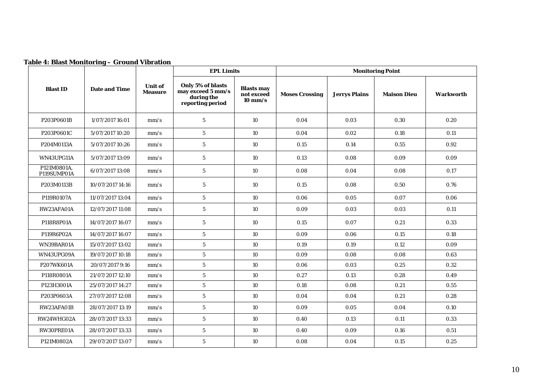|                            |                      |                                  | <b>EPL Limits</b>                                                        |                                                      |                       | <b>Monitoring Point</b> |                    |                  |  |
|----------------------------|----------------------|----------------------------------|--------------------------------------------------------------------------|------------------------------------------------------|-----------------------|-------------------------|--------------------|------------------|--|
| <b>Blast ID</b>            | <b>Date and Time</b> | <b>Unit of</b><br><b>Measure</b> | Only 5% of blasts<br>may exceed 5 mm/s<br>during the<br>reporting period | <b>Blasts may</b><br>not exceed<br>$10 \text{ mm/s}$ | <b>Moses Crossing</b> | <b>Jerrys Plains</b>    | <b>Maison Dieu</b> | <b>Warkworth</b> |  |
| P203P0601B                 | 1/07/2017 16:01      | mm/s                             | $\sqrt{5}$                                                               | 10                                                   | 0.04                  | 0.03                    | 0.30               | 0.20             |  |
| P203P0601C                 | 5/07/2017 10:20      | mm/s                             | $5\overline{)}$                                                          | 10                                                   | 0.04                  | 0.02                    | 0.18               | 0.11             |  |
| P204M0113A                 | 5/07/2017 10:26      | mm/s                             | $5\phantom{.0}$                                                          | 10                                                   | 0.15                  | 0.14                    | 0.55               | 0.92             |  |
| WN43UPG11A                 | 5/07/2017 13:09      | mm/s                             | $5\phantom{.0}$                                                          | 10                                                   | 0.13                  | 0.08                    | 0.09               | 0.09             |  |
| P121M0801A.<br>P119SUMP01A | 6/07/2017 13:08      | mm/s                             | $5\phantom{.0}$                                                          | 10                                                   | 0.08                  | 0.04                    | 0.08               | 0.17             |  |
| P203M0113B                 | 10/07/2017 14:16     | mm/s                             | $5\phantom{.0}$                                                          | 10                                                   | 0.15                  | 0.08                    | 0.50               | 0.76             |  |
| P119R0107A                 | 11/07/2017 13:04     | mm/s                             | $\bf 5$                                                                  | 10                                                   | 0.06                  | 0.05                    | 0.07               | 0.06             |  |
| RW23AFA01A                 | 12/07/2017 11:08     | mm/s                             | $5\phantom{.0}$                                                          | 10                                                   | 0.09                  | 0.03                    | 0.03               | 0.11             |  |
| P118R8P01A                 | 14/07/2017 16:07     | mm/s                             | $5\phantom{.0}$                                                          | 10                                                   | 0.15                  | 0.07                    | 0.21               | 0.33             |  |
| P119R6P02A                 | 14/07/2017 16:07     | mm/s                             | $\overline{5}$                                                           | 10                                                   | 0.09                  | 0.06                    | 0.15               | 0.18             |  |
| WN39BAR01A                 | 15/07/2017 13:02     | mm/s                             | $\sqrt{5}$                                                               | 10                                                   | 0.19                  | 0.19                    | 0.12               | 0.09             |  |
| WN43UPG09A                 | 19/07/2017 10:18     | mm/s                             | $5\overline{)}$                                                          | 10                                                   | 0.09                  | 0.08                    | 0.08               | 0.63             |  |
| P207WK601A                 | 20/07/2017 9:16      | mm/s                             | $5\overline{)}$                                                          | 10                                                   | 0.06                  | 0.03                    | 0.25               | 0.32             |  |
| P118R0801A                 | 21/07/2017 12:10     | mm/s                             | $\bf 5$                                                                  | 10                                                   | 0.27                  | 0.13                    | 0.28               | 0.49             |  |
| P123H3001A                 | 25/07/2017 14:27     | mm/s                             | $\bf 5$                                                                  | 10                                                   | 0.18                  | 0.08                    | 0.21               | 0.55             |  |
| P203P0603A                 | 27/07/2017 12:08     | mm/s                             | $5\overline{)}$                                                          | 10                                                   | 0.04                  | 0.04                    | 0.21               | 0.28             |  |
| RW23AFA01B                 | 28/07/2017 13:19     | mm/s                             | $\sqrt{5}$                                                               | 10                                                   | 0.09                  | 0.05                    | 0.04               | 0.10             |  |
| RW24WHG02A                 | 28/07/2017 13:33     | mm/s                             | $\sqrt{5}$                                                               | 10                                                   | 0.40                  | 0.13                    | 0.11               | 0.33             |  |
| RW30PRE01A                 | 28/07/2017 13:33     | mm/s                             | $\bf 5$                                                                  | 10                                                   | 0.40                  | 0.09                    | 0.16               | 0.51             |  |
| P121M0802A                 | 29/07/2017 13:07     | mm/s                             | $\sqrt{5}$                                                               | 10                                                   | 0.08                  | 0.04                    | 0.15               | 0.25             |  |

### **Table 4: Blast Monitoring – Ground Vibration**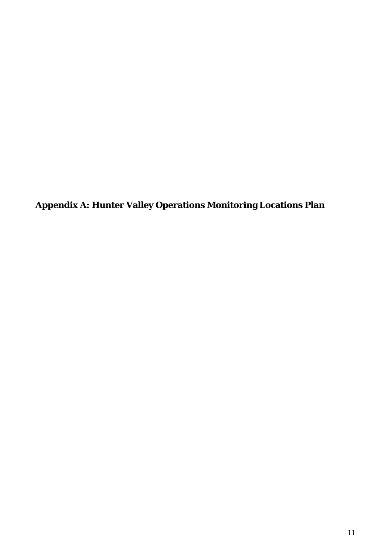**Appendix A: Hunter Valley Operations Monitoring Locations Plan**